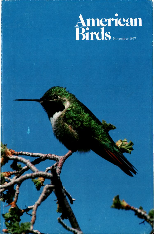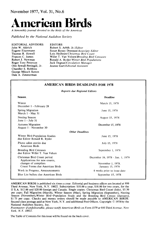# **November 1977, Vol. 31, No.6**

# e**rican Birds**

**A bimonthly journal devoted to the birds of the Americas** 

**Published by the National Audubon Society** 

**EDITORIAL ADVISORS John W. Aldrich Eugene Eisenmann Thomas R. Howell Frances C. James Robert J. Newman Roger Tory Peterson Olin Sewall Pettingill, Jr. Chandler S. Robbins George Miksch Sutton Dale A. Zimmerman** 

**EDITORS Robert S. Arbib, Jr./Editor Susan Roney Drennan/Associate Editor Lois Heilbrun/Christmas Bird Count Willet T. Van Velzen/Breeding Bird Censuses Ronald A. Ryder/Winter Bird Populations Jack Degnan/Circulation Manager Jeanne Gart/Editorial Assistant** 

#### **AMERICAN BIRDS DEADLINES FOR 1978**

**Reports due Regional Editors** 

| Season.                                                          | <b>Deadline</b>                  |
|------------------------------------------------------------------|----------------------------------|
| Winter<br>December 1 - February 28                               | March 15, 1978                   |
| Spring Migration<br>March 1 - May 31                             | June 15, 1978                    |
| Nesting Season<br>June 1 - July 31                               | August 15, 1978                  |
| <b>Autumn Migration</b><br>August 1 - November 30                | December 15, 1978                |
| <b>Other Deadlines</b>                                           |                                  |
| Winter Bird-Population Studies<br>due Editor Ronald R. Ryder     | June 15, 1978                    |
| Photo salon entries due<br>American Birds                        | July 15, 1978                    |
| <b>Breeding Bird Censuses</b><br>due Editor Willet T. Van Velzen | September 1, 1978                |
| Christmas Bird Count period<br>Applications for new counts,      | December 16, 1978 - Jan. 1, 1979 |
| changes of compilers                                             | November 1, 1978.                |
| Count Forms due American Birds                                   | January 15, 1979                 |
| Work in Progress, Announcements                                  | 6 weeks prior to issue date      |
| Blue List ballots due American Birds                             | September 15, 1978               |

**AMERICAN BIRDS is published six times a year. Editorial and business offices are located at 950 Third Avenue, New York, N.Y. 10022. Subscription: \$10.00 a year, \$18.00 for two years, for the U S.A. \$12.00 and \$20.00 foreign and Canada. Single copies: Christmas Bird Count (July), \$5.50 per copy; Fall Migration (March), Winter Season (May), Spring Migration (September), Nesting Season (November),Winter Bird-Population Study and the Breeding Bird Census (January), \$1 75 per copy. Checks and money orders should be made payable to AMERICAN BIRDS.**  Second class postage paid at New York, N.Y. and additional Post Offices. Copyright © 1978 by the **National Audubon Society, Inc.** 

**Postmaster: if undeliverable, please notify American Birds on Form 3579 at 950 Third Avenue, New York, N.Y. 10022'.** 

**The Table of Contents for this issue will be found on the back cover.**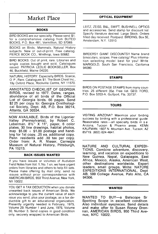# **Market Place**

## **BOOKS**

**BIRD BOOKS are our specialty. Please send \$1. for a comprehensive catalog from BUTEO BOOKS, P.O. Box 481, Vermillion, SD 57069.** 

**BOOKS on Birds, Mammals, Natural History subjects. New or out-of-print. Free catalog. PIERCE BOOK CO., Winthrop, Iowa 50682.** 

**BIRD BOOKS: Out of print, rare. Libraries and single copies bought and sold. Catalogues •ssued PATRICIA LEDLIE.BOOKSELLER, Box 46, Buckfield, Maine 04220.** 

**NATURAL HISTORY. Especially BIRDS. Scarce, O P, Rare. Catalogues \$1. The Book Chest Inc., 19y Oxford Place, Rockville Centre, NY 11570.** 

**ANNOTATED CHECKLIST OF GEORGIA BIRDS, revised to 1977. Dates, ranges, abundance of all birds of the Official**  List of Georgia birds. 66 pages. Send **\$2 25 per copy to: Georgia Ornithological Society, Dept. AB, P.O. Box 38214, Atlanta, GA 30334.** 

**NOW AVAILABLE. Birds of the Ligonier Valley (Pennsylvania), by Robert C.**  Leberman. 81/2" X 11", paper, 6 color **plates, 30 line drawings, habitat photos, map \$5.00 + \$1.00 postage and handhng for 1st copy, .25 ea. additional copy. Penn residents add .30 tax per copy. Order from: A. R. Nieser, Carnegie Museum of Natural History, Pittsburgh, PA 15213.** 

### **BACK ISSUES WANTED**

**If you have issues or volumes of Audubon**  Field Notes from Vol. 1, No. 1 on, we have urgent **orders from libraries and others to help fill sets. Please make offering by mail only; send no •ssues withobt prior correspondence with AMERICAN BIRDS, 950 Third Avenue, New York, NY 10022.** 

**YOU GET A TAX DEDUCTION when you donate unwanted back issues of American Birds. We acknowledge to you the current value of each •ssue you send, plus your postage, as a tax deducbble gift to an educational organization. Presently urgently needed is February, 1975, Volume 29, Number 1 and June, 1976, Volume 30, Number 3. Send copies in good condition only, securely wrapped to American Birds.** 

#### **OPTICAL EQUIPMENT**

**LEITZ, ZEISS, B&L, SWIFT, BUSHNELL OPTICS and accessories. Send stamp for discount list Specify literature desired. Large Stock. Orders filled day received. Postpaid. BIRDING, Box 5E, Amsterdam, N.Y. 12010.** 

**BIRDERS!! GIANT DISCOUNTS!! Name brand binoculars, scopes. Free catalog! Plus information selecting model best for you! Write MARIGOLD, South San Francisco, Callforma 94080.** 

#### **STAMPS**

**BIRDS ON POSTAGE STAMPS from many countries. 25 different 35½. Free list. GEO. FORD, P.O. Box 5203-A, Gulfport, Fla. 33737.** 

# **TOURS**

**VISITING ARIZONA? Maximize your b•rdmg success by birding with a professional guide Reasonable rates--all specialty birds in s e Arizona, Tucson & Phoenix areas. KENN KAUFMAN, 1607 N. Mountain Ave., Tucson, AZ 85719. (602) 624-4641.** 

**NATURE AND CULTURAL EXPEDI-TIONS. Combine adventure, discovery, learning, and vacation on expeditions to New Guinea, Nepal, Galapagos, East Africa, Mexico, Alaska, American West, other destinations worldwide. Expert leaders, small groups. Write: NATURE EXPEDITIONS INTERNATIONAL, Dept AB, 599 College Avenue, Palo Alto, CA 94306.** 

#### **WANTED**

WANTED TO BUY-a Balscope Sr **Spotting Scope in excellent condihon**  Also individual eyepieces. Send details **and make offer to Susan Roney Drennan, AMERICAN BIRDS, 950 Third Avenue, NYC 10022.**